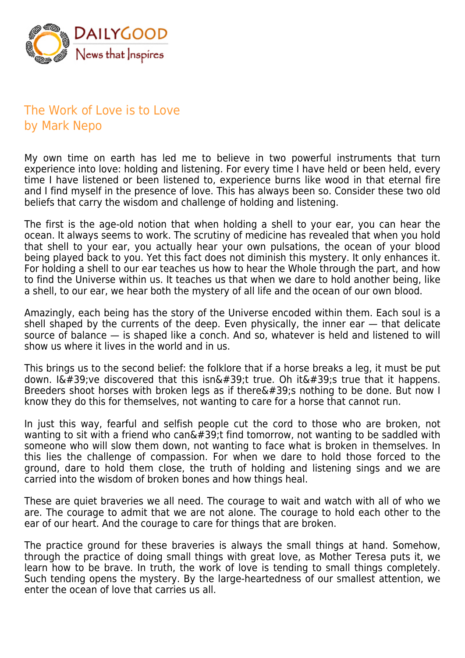

## The Work of Love is to Love by Mark Nepo

My own time on earth has led me to believe in two powerful instruments that turn experience into love: holding and listening. For every time I have held or been held, every time I have listened or been listened to, experience burns like wood in that eternal fire and I find myself in the presence of love. This has always been so. Consider these two old beliefs that carry the wisdom and challenge of holding and listening.

The first is the age-old notion that when holding a shell to your ear, you can hear the ocean. It always seems to work. The scrutiny of medicine has revealed that when you hold that shell to your ear, you actually hear your own pulsations, the ocean of your blood being played back to you. Yet this fact does not diminish this mystery. It only enhances it. For holding a shell to our ear teaches us how to hear the Whole through the part, and how to find the Universe within us. It teaches us that when we dare to hold another being, like a shell, to our ear, we hear both the mystery of all life and the ocean of our own blood.

Amazingly, each being has the story of the Universe encoded within them. Each soul is a shell shaped by the currents of the deep. Even physically, the inner ear — that delicate source of balance — is shaped like a conch. And so, whatever is held and listened to will show us where it lives in the world and in us.

This brings us to the second belief: the folklore that if a horse breaks a leg, it must be put down. I' ve discovered that this isn't true. Oh it' true that it happens. Breeders shoot horses with broken legs as if there $\&\#39$ ; nothing to be done. But now I know they do this for themselves, not wanting to care for a horse that cannot run.

In just this way, fearful and selfish people cut the cord to those who are broken, not wanting to sit with a friend who can $\&\#39$ ; find tomorrow, not wanting to be saddled with someone who will slow them down, not wanting to face what is broken in themselves. In this lies the challenge of compassion. For when we dare to hold those forced to the ground, dare to hold them close, the truth of holding and listening sings and we are carried into the wisdom of broken bones and how things heal.

These are quiet braveries we all need. The courage to wait and watch with all of who we are. The courage to admit that we are not alone. The courage to hold each other to the ear of our heart. And the courage to care for things that are broken.

The practice ground for these braveries is always the small things at hand. Somehow, through the practice of doing small things with great love, as Mother Teresa puts it, we learn how to be brave. In truth, the work of love is tending to small things completely. Such tending opens the mystery. By the large-heartedness of our smallest attention, we enter the ocean of love that carries us all.